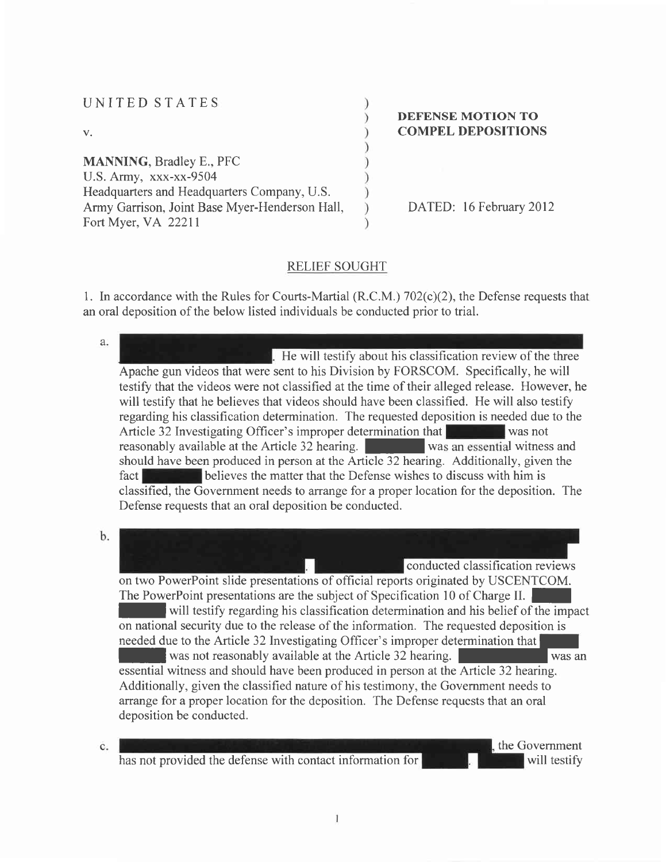| UNITED STATES                                  |                           |
|------------------------------------------------|---------------------------|
|                                                | <b>DEFENSE MOTION TO</b>  |
| $V_{\star}$                                    | <b>COMPEL DEPOSITIONS</b> |
|                                                |                           |
| <b>MANNING, Bradley E., PFC</b>                |                           |
| U.S. Army, xxx-xx-9504                         |                           |
| Headquarters and Headquarters Company, U.S.    |                           |
| Army Garrison, Joint Base Myer-Henderson Hall, | DATED: 16 February 2012   |
| Fort Myer, VA 22211                            |                           |

# RELIEF SOUGHT

1. In accordance with the Rules for Courts-Martial (R.C.M.) 702(c)(2), the Defense requests that an oral deposition of the below listed individuals be conducted prior to trial.

| a.             |                                                                                                                                                                                                                                                                                                                                                                                                                                                                                                                                                                                                                                                                                                                                                                                                                                                                                                                                                  |
|----------------|--------------------------------------------------------------------------------------------------------------------------------------------------------------------------------------------------------------------------------------------------------------------------------------------------------------------------------------------------------------------------------------------------------------------------------------------------------------------------------------------------------------------------------------------------------------------------------------------------------------------------------------------------------------------------------------------------------------------------------------------------------------------------------------------------------------------------------------------------------------------------------------------------------------------------------------------------|
|                | . He will testify about his classification review of the three<br>Apache gun videos that were sent to his Division by FORSCOM. Specifically, he will<br>testify that the videos were not classified at the time of their alleged release. However, he<br>will testify that he believes that videos should have been classified. He will also testify<br>regarding his classification determination. The requested deposition is needed due to the<br>Article 32 Investigating Officer's improper determination that<br>was not<br>reasonably available at the Article 32 hearing.<br>was an essential witness and<br>should have been produced in person at the Article 32 hearing. Additionally, given the<br>believes the matter that the Defense wishes to discuss with him is<br>fact<br>classified, the Government needs to arrange for a proper location for the deposition. The<br>Defense requests that an oral deposition be conducted. |
| b.             | conducted classification reviews<br>on two PowerPoint slide presentations of official reports originated by USCENTCOM.<br>The PowerPoint presentations are the subject of Specification 10 of Charge II.<br>will testify regarding his classification determination and his belief of the impact<br>on national security due to the release of the information. The requested deposition is<br>needed due to the Article 32 Investigating Officer's improper determination that<br>was not reasonably available at the Article 32 hearing.<br>was an<br>essential witness and should have been produced in person at the Article 32 hearing.<br>Additionally, given the classified nature of his testimony, the Government needs to<br>arrange for a proper location for the deposition. The Defense requests that an oral<br>deposition be conducted.                                                                                           |
| $\mathbf{c}$ . | the Government<br>has not provided the defense with contact information for<br>will testify                                                                                                                                                                                                                                                                                                                                                                                                                                                                                                                                                                                                                                                                                                                                                                                                                                                      |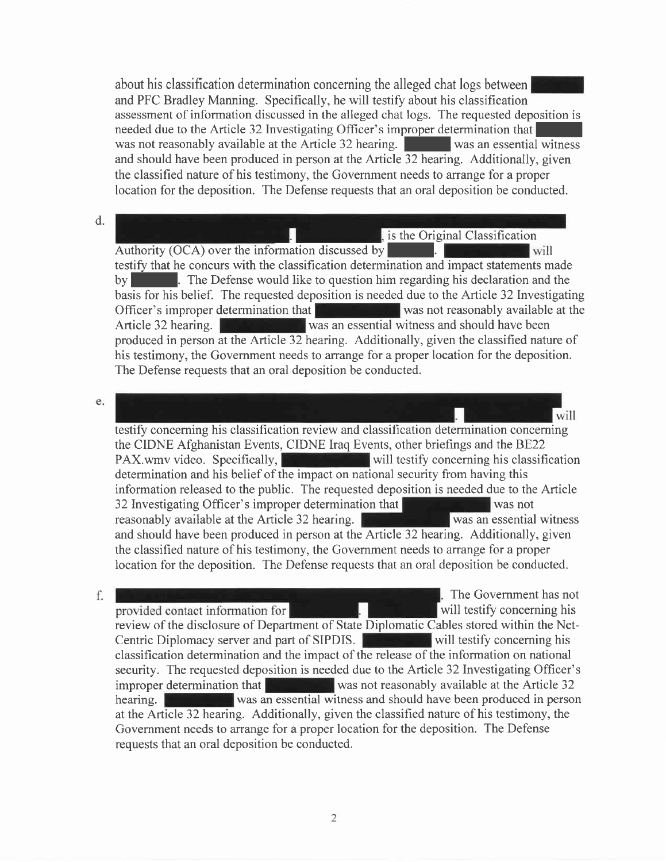about his classification determination concerning the alleged chat logs between and PFC Bradley Manning. Specifically, he will testify about his classification assessment of information discussed in the alleged chat logs. The requested deposition is needed due to the Article 32 Investigating Officer's improper determination that was not reasonably available at the Article 32 hearing. Was an essential witness and should have been produced in person at the Article 32 hearing. Additionally, given the classified nature of his testimony, the Government needs to arrange for a proper location for the deposition. The Defense requests that an oral deposition be conducted.

#### d.

is the Original Classification

Authority (OCA) over the information discussed by will testify that he concurs with the classification determination and impact statements made by **I. The Defense would like to question him regarding his declaration and the** basis for his belief. The requested deposition is needed due to the Article 32 Investigating Officer's improper determination that was not reasonably available at the Article 32 hearing. Was an essential witness and should have been produced in person at the Article 32 hearing. Additionally, given the classified nature of his testimony, the Government needs to arrange for a proper location for the deposition. The Defense requests that an oral deposition be conducted.

#### e.

will testify concerning his classification review and classification determination concerning the CIDNE Afghanistan Events, CIDNE Iraq Events, other briefings and the BE22 PAX.wmv video. Specifically,  $\|$  will testify concerning his classification determination and his belief of the impact on national security from having this information released to the public. The requested deposition is needed due to the Article 32 Investigating Officer's improper determination that was not was not reasonably available at the Article 32 hearing. We have always an essential witness and should have been produced in person at the Article 32 hearing. Additionally, given the classihed nature of his testimony, the Government needs to arrange for a proper location for the deposition. The Defense requests that an oral deposition be conducted.

#### f.

The Government has not provided contact information for will testify concerning his review of the disclosure of Department of State Diplomatic Cables stored within the Net-Centric Diplomacy server and part of SIPDIS. will testify concerning his classification determination and the impact of the release of the information on national security. The requested deposition is needed due to the Article 32 Investigating Officer's improper determination that  $\mathbb{R}$  was not reasonably available at the Article 32 hearing. **We are so was an essential witness and should have been produced in person** at the Article 32 hearing. Additionally, given the classified nature of his testimony, the Govemment needs to arrange for a proper location for the deposition. The Defense requests that an oral deposition be conducted.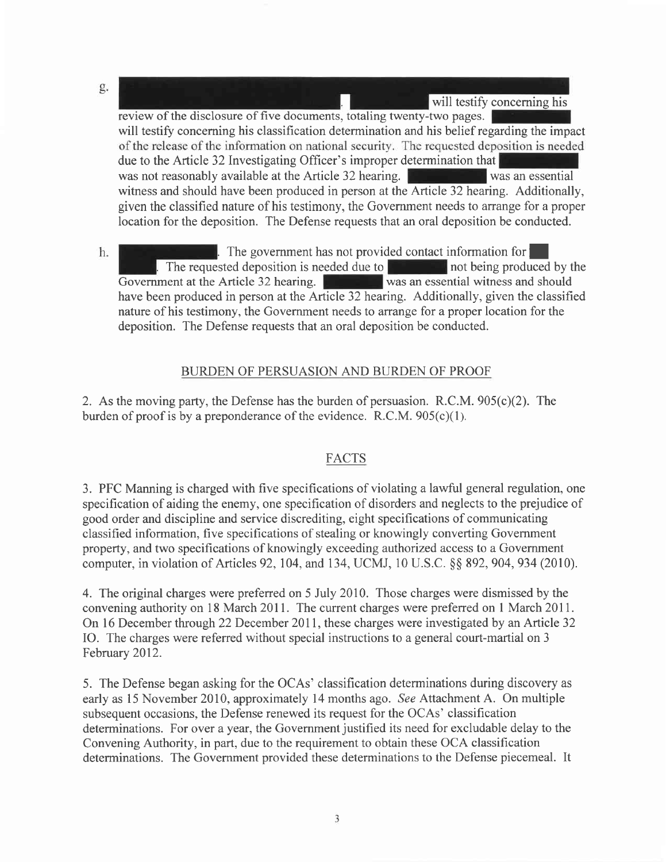- g. will testify concerning his review of the disclosure of five documents, totaling twenty-two pages. will testify concerning his classification determination and his belief regarding the impact of the release of the information on national security. The requested deposition is needed due to the Article 32 Investigating Officer's improper determination that was not reasonably available at the Article 32 hearing. was an essentialwitness and should have been produced in person at the Article 32 hearing. Additionally, given the classified nature of his testimony, the Government needs to arrange for a proper location for the deposition. The Defense requests that an oral deposition be conducted.
- The government has not provided contact information for  $\vert$  and denote the steed denotes in energy and  $\vert$  and being produced by the h. . The requested deposition is needed due to not being produced by the notion at the Article 32 hearing. Government at the Article 32 hearing. have been produced in person at the Article 32 hearing. Additionally, given the classified nature of his testimony, the Government needs to arrange for a proper location for the deposition. The Defense requests that an oral deposition be conducted.

## BURDEN OF PERSUASION AND BURDEN OF PROOF

2. As the moving party, the Defense has the burden of persuasion. R.C.M.  $905(c)(2)$ . The burden of proof is by a preponderance of the evidence. R.C.M.  $905(c)(1)$ .

## FACTS

3. PFC Manning is charged with five specifications of violating a lawful general regulation, one specification of aiding the enemy, one specification of disorders and neglects to the prejudice of good order and discipline and service discrediting, eight specifications of communicating classified information, five specifications of stealing or knowingly converting Government property, and two specifications of knowingly exceeding authorized access to a Govemment computer, in violation of Articles 92, 104, and 134, UCMJ, 10 U.S.C. § \$ 892, 904, 934 (2010).

4. The original charges were preferred on 5 July 2010. Those charges were dismissed by the convening authority on 18 March 2011. The current charges were preferred on 1 March 2011. On 16 December through 22 December 2011, these charges were investigated by an Article 32 IO. The charges were referred without special instructions to a general court-martial on <sup>3</sup> February 2012.

5. The Defense began asking for the OCAs' classification determinations during discovery as early as 15 November 2010, approximately 14 months ago. See Attachment A. On multiple subsequent occasions, the Defense renewed its request for the OCAs' classification determinations. For over a year, the Government justified its need for excludable delay to the Convening Authority, in part, due to the requirement to obtain these OCA classification determinations. The Government provided these determinations to the Defense piecemeal. It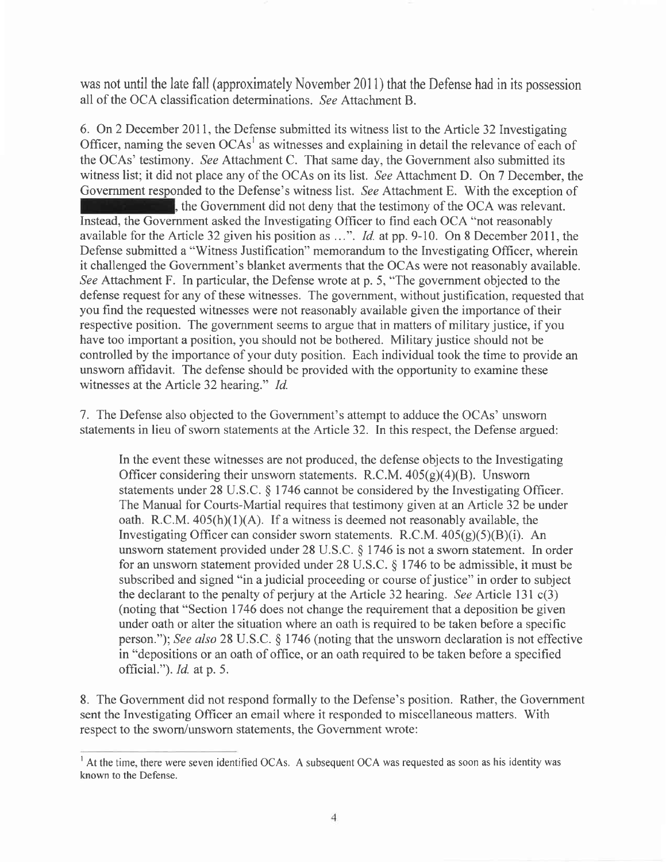was not until the late fall (approximately November 2011) that the Defense had in its possession all of the OCA classification determinations. See Attachment B.

6. On 2 December 2011, the Defense submitted its witness list to the Article 32 Investigating Officer, naming the seven OCAs' as witnesses and explaining in detail the relevance of each of the OCAs' testimony. See Attachment C. That same day, the Government also submitted its witness list; it did not place any of the OCAs on its list. See Attachment D. On 7 December, the Government responded to the Defense's witness list. See Attachment E. With the exception of , the Government did not deny that the testimony of the OCA was relevant. Instead, the Govemment asked the Investigating Officer to find each OCA "not reasonably available for the Article 32 given his position as  $\dots$ ". *Id.* at pp. 9-10. On 8 December 2011, the Defense submitted a "Witness Justification" memorandum to the Investigating Officer, wherein it challenged the Government's blanket averments that the OCAs were not reasonably available. See Attachment F. In particular, the Defense wrote at p. 5, "The government objected to the defense request for any of these witnesses. The government, without justification, requested that you find the requested witnesses were not reasonably available given the importance of their respective position. The government seems to argue that in matters of military justice, if you have too important a position, you should not be bothered. Military justice should not be controlled by the importance of your duty position. Each individual took the time to provide an unsworn affidavit. The defense should be provided with the opportunity to examine these witnesses at the Article 32 hearing." *Id.* 

7. The Defense also objected to the Government's attempt to adduce the OCAs' unsworn statements in lieu of sworn statements at the Article 32. ln this respect, the Defense argued:

In the event these witnesses are not produced, the defense objects to the Investigating Officer considering their unsworn statements. R.C.M.  $405(g)(4)(B)$ . Unsworn statements under 28 U.S.C. \$ 1746 cannot be considered by the Investigating Officer. The Manual for Courts-Martial requires that testimony given at an Article 32be under oath. R.C.M.  $405(h)(1)(A)$ . If a witness is deemed not reasonably available, the Investigating Officer can consider sworn statements. R.C.M.  $405(g)(5)(B)(i)$ . An unsworn statement provided under 28 U.S.C. S 1746 is not a swom statement. In order for an unsworn statement provided under 28 U.S.C. \$ 1746 to be admissible, it must be subscribed and signed "in a judicial proceeding or course of justice" in order to subject the declarant to the penalty of perjury at the Article 32 hearing. See Article 131  $c(3)$ (noting that "Section 1746 does not change the requirement that a deposition be given under oath or alter the situation where an oath is required to be taken before a specific person."); See also 28 U.S.C.  $\S$  1746 (noting that the unsworn declaration is not effective in "depositions or an oath of office, or an oath required to be taken before a specified official.").  $Id.$  at p. 5.

8. The Government did not respond formally to the Defense's position. Rather, the Government sent the Investigating Officer an email where it responded to miscellaneous matters. With respect to the swom/unsworn statements, the Government wrote:

 $<sup>1</sup>$  At the time, there were seven identified OCAs. A subsequent OCA was requested as soon as his identity was</sup> known to the Defense.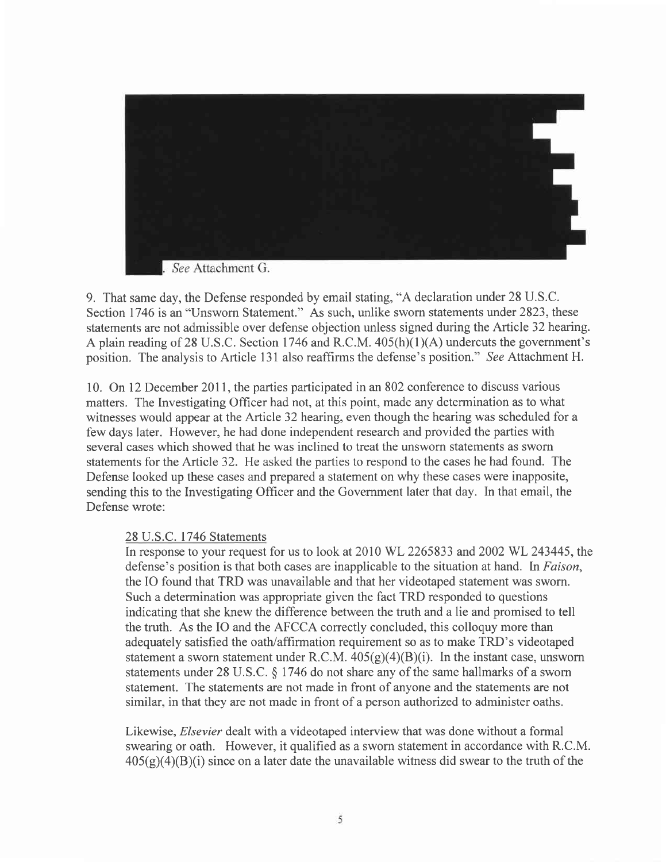

9. That same day, the Defense responded by email stating, "A declaration under 28 U.S.C. Section 1746 is an "Unsworn Statement." As such, unlike sworn statements under 2823, these statements are not admissible over defense objection unless signed during the Article 32 hearing. A plain reading of 28 U.S.C. Section 1746 and R.C.M.  $405(h)(1)(A)$  undercuts the government's position. The analysis to Article 131 also reaffirms the defense's position." See Attachment H.

10. On 12 December 201l, the parties participated in an 802 conference to discuss various matters. The Investigating Officer had not, at this point, made any determination as to what witnesses would appear at the Article 32 hearing, even though the hearing was scheduled for a few days later. However, he had done independent research and provided the panies with several cases which showed that he was inclined to treat the unsworn statements as sworn statements for the Article 32. He asked the parties to respond to the cases he had found. The Defense looked up these cases and prepared a statement on why these cases were inapposite, sending this to the Investigating Officer and the Government later that day. In that email, the Defense wrote:

#### 28 U.S.C. 1746 Statements

In response to your request for us to look at 2010 WL 2265833 and 2002 WL 243445, the defense's position is that both cases are inapplicable to the situation at hand. In Faison, the IO found that TRD was unavailable and that her videotaped statement was sworn. Such a determination was appropriate given the fact TRD responded to questions indicating that she knew the difference between the truth and a lie and promised to tell the truth. As the IO and the AFCCA correctly concluded, this colloquy more than adequately satisfred the oath/affirmation requirement so as to make TRD's videotaped statement a sworn statement under R.C.M.  $405(g)(4)(B)(i)$ . In the instant case, unsworn statements under 28 U.S.C. \$ 1746 do not share any of the same hallmarks of a sworn statement. The statements are not made in front of anyone and the statements are not similar, in that they are not made in front of a person authorized to administer oaths.

Likewise, Elsevier dealt with a videotaped interview that was done without a formal swearing or oath. However, it qualified as a sworn statement in accordance with R.C.M.  $405(g)(4)(B)(i)$  since on a later date the unavailable witness did swear to the truth of the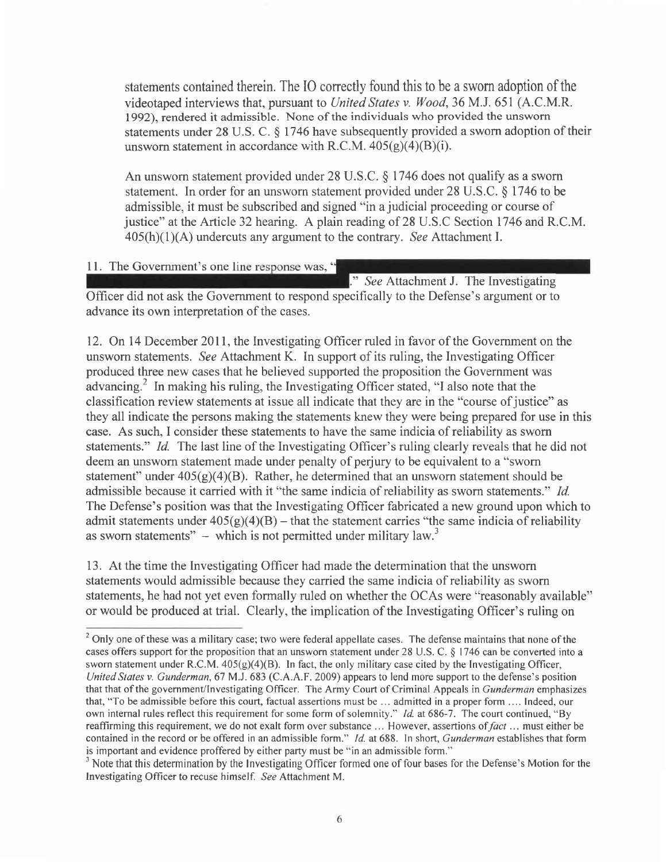statements contained therein. The IO conectly found this to be a sworn adoption of the videotaped interviews that, pursuant to United States v. Wood, 36 M.J. 651 (A.C.M.R. 1992), rendered it admissible. None of the individuals who provided the unsworn statements under 28 U.S. C.  $\S$  1746 have subsequently provided a sworn adoption of their unsworn statement in accordance with R.C.M.  $405(g)(4)(B)(i)$ .

An unswom statement provided under 28 U.S.C. \$ 1746 does not qualify as a sworn statement. In order for an unsworn statement provided under 28 U.S.C. \$ 1746 to be admissible, it must be subscribed and signed "in a judicial proceeding or course of justice" at the Article 32 hearing. A plain reading of 28 U.S.C Section 1746 and R.C.M.  $405(h)(1)(A)$  undercuts any argument to the contrary. See Attachment I.

11. The Government's one line response was, "

." See Attachment J. The Investigating

Officer did not ask the Government to respond specifically to the Defense's argument or to advance its own interpretation of the cases.

12. On 14 December 201l, the Investigating Officer ruled in favor of the Government on the unswom statements. See Attachment K. In support of its ruling, the Investigating Officer produced three new cases that he believed supported the proposition the Government was advancing.<sup>2</sup> In making his ruling, the Investigating Officer stated, "I also note that the classification review statements at issue all indicate that they are in the "course of justice" as they all indicate the persons making the statements knew they were being prepared for use in this case. As such, I consider these statements to have the same indicia of reliability as sworn statements." *Id.* The last line of the Investigating Officer's ruling clearly reveals that he did not deem an unsworn statement made under penalty of perjury to be equivalent to a "sworn statement" under  $405(g)(4)(B)$ . Rather, he determined that an unsworn statement should be admissible because it carried with it "the same indicia of reliability as sworn statements." Id. The Defense's position was that the Investigating Officer fabricated a new ground upon which to admit statements under  $405(g)(4)(B)$  - that the statement carries "the same indicia of reliability as sworn statements"  $-$  which is not permitted under military law.<sup>3</sup>

13. At the time the Investigating Officer had made the determination that the unsworn statements would admissible because they carried the same indicia of reliability as sworn statements, he had not yet even formally ruled on whether the OCAs were "reasonably available" or would be produced at trial. Clearly, the implication of the Investigating Officer's ruling on

<sup>&</sup>lt;sup>2</sup> Only one of these was a military case; two were federal appellate cases. The defense maintains that none of the cases offers support for the proposition that an unsworn statement under 28 U.S.C.  $\S$  1746 can be converted into a sworn statement under R.C.M.  $405(g)(4)(B)$ . In fact, the only military case cited by the Investigating Officer, United States v. Gunderman, 67 M.J. 683 (C.A.A.F. 2009) appears to lend more support to the defense's position that that of the government/lnvestigating Officer. The Army Court of Criminal Appeals in Gunderman emphasizes that, "To be admissible before this court, factual assertions must be ... admitted in a proper form .... Indeed, our own internal rules reflect this requirement for some form of solemnity." Id. at 686-7. The court continued, "By reaffirming this requirement, we do not exalt form over substance ... However, assertions of fact ... must either be contained in the record or be offered in an admissible form." *Id.* at 688. In short, *Gunderman* establishes that form is important and evidence proffered by either party must be "in an admissible form."

<sup>&</sup>lt;sup>3</sup> Note that this determination by the Investigating Officer formed one of four bases for the Defense's Motion for the Investigating Officer to recuse himself. See Attachment M.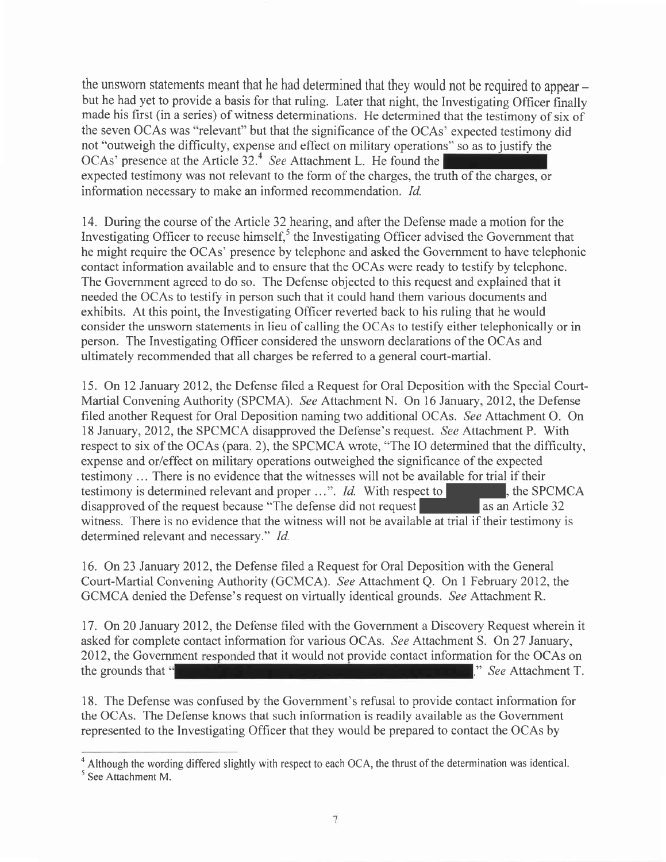the unsworn statements meant that he had determined that they would not be required to appear – but he had yet to provide a basis for that ruling. Later that night, the Investigating Officer finally made his first (in a series) of witness determinations. He determined that the testimony of six of the seven OCAs was "relevant" but that the significance of the OCAs' expected testimony did not "outweigh the difficulty, expense and effect on military operations" so as to justify the OCAs' presence at the Article 32.<sup>4</sup> See Attachment L. He found the expected testimony was not relevant to the form of the charges, the truth of the charges, or information necessary to make an informed recommendation. Id.

14. During the course of the Article 32 hearing, and after the Defense made a motion for the Investigating Officer to recuse himself, $<sup>5</sup>$  the Investigating Officer advised the Government that</sup> he might require the OCAs' presence by telephone and asked the Government to have telephonic contact information available and to ensure that the OCAs were ready to testify by telephone. The Government agreed to do so. The Defense objected to this request and explained that it needed the OCAs to testify in person such that it could hand them various documents and exhibits. At this point, the Investigating Officer reverted back to his ruling that he would consider the unsworn statements in lieu of calling the OCAs to testify either telephonically or in person. The Investigating Officer considered the unsworn declarations of the OCAs and ultimately recommended that all charges be referred to a general court-martial.

15. On 12 January 2012, the Defense filed a Request for Oral Deposition with the Special Court-Martial Convening Authority (SPCMA). See Attachment N. On l6 January, 2012, the Defense filed another Request for Oral Deposition naming two additional OCAs. See Attachment O. On 18 January, 2012, the SPCMCA disapproved the Defense's request. See Attachment P. With respect to six of the OCAs (para. 2), the SPCMCA wrote, "The IO determined that the difficulty, expense and or/effect on military operations outweighed the significance of the expected testimony ... There is no evidence that the witnesses will not be available for trial if their testimony is determined relevant and proper  $\dots$ ". Id. With respect to  $\blacksquare$ , the SPCMCA disapproved of the request because "The defense did not request as an Article 32 witness. There is no evidence that the witness will not be available at trial if their testimony is determined relevant and necessary." Id.

16. On 23 January 2012, the Defense filed a Request for Oral Deposition with the General Court-Martial Convening Authority (GCMC A). See Attachment Q. On I February 2012, the GCMCA denied the Defense's request on virtually identical grounds. See Attachment R.

17. On 20 January 2012, the Defense filed with the Government a Discovery Request wherein it asked for complete contact information for various OCAs. See Attachment S. On27 January, 2012, the Government responded that it would not provide contact information for the OCAs on the grounds that " See Attachment T.

18. The Defense was confused by the Government's refusal to provide contact information for the OCAs. The Defense knows that such information is readily available as the Government represented to the Investigating Officer that they would be prepared to contact the OCAs by

 $7$ 

<sup>&#</sup>x27;Although the wording differed slightly with respect to each OCA, the thrust of the determination was identical.  $<sup>5</sup>$  See Attachment M.</sup>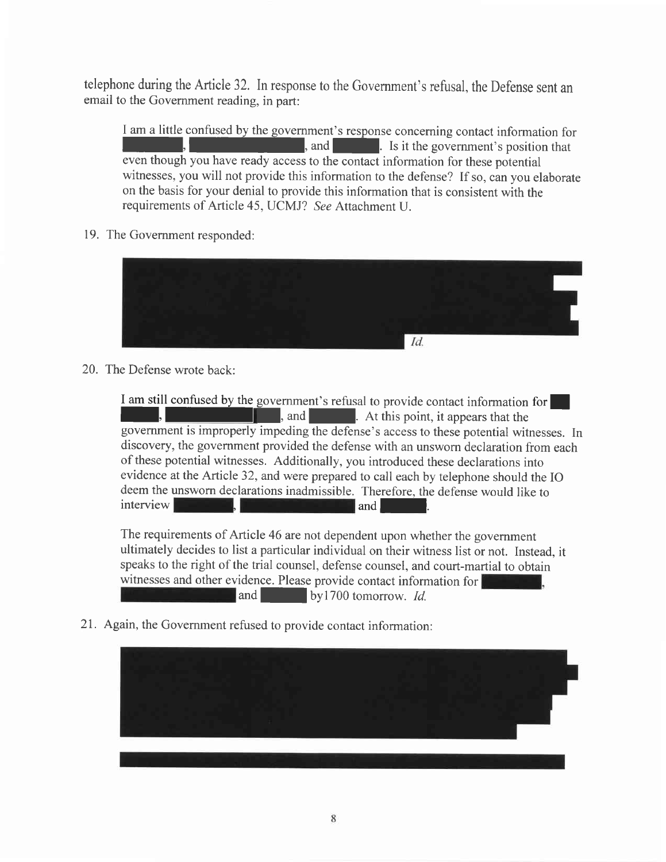telephone during the Article 32. In response to the Government's refusal, the Defense sent an email to the Government reading, in part:

I am a little confused by the government's response concerning contact information for I,  $\blacksquare$ , and  $\blacksquare$ . Is it the government's position that even though you have ready access to the contact information for these potential witnesses, you will not provide this information to the defense? If so, can you elaborate on the basis for your denial to provide this information that is consistent with the requirements of Article 45, UCMJ? See Attachment U.

19. The Government responded:



20. The Defense wrote back:

I am still confused by the government's refusal to provide contact information for<br>
, and<br>
, At this point, it appears that the **let us and I america**. At this point, it appears that the government is improperly impeding the defense's access to these potential witnesses. In discovery, the government provided the defense with an unsworn declaration from each of these potential witnesses. Additionally, you introduced these declarations into evidence at the Anicle 32, and were prepared to call each by telephone should the IO deem the unsworn declarations inadmissible. Therefore, the defense would like to interview

The requirements of Article 46 are not dependent upon whether the government ultimately decides to list a particular individual on their witness list or not. Instead, it speaks to the right of the trial counsel, defense counsel, and court-martial to obtain witnesses and other evidence. Please provide contact information for  $\alpha$  and  $\alpha$  by 1700 tomorrow. *Id.* 

2I. Again, the Government refused to provide contact information:

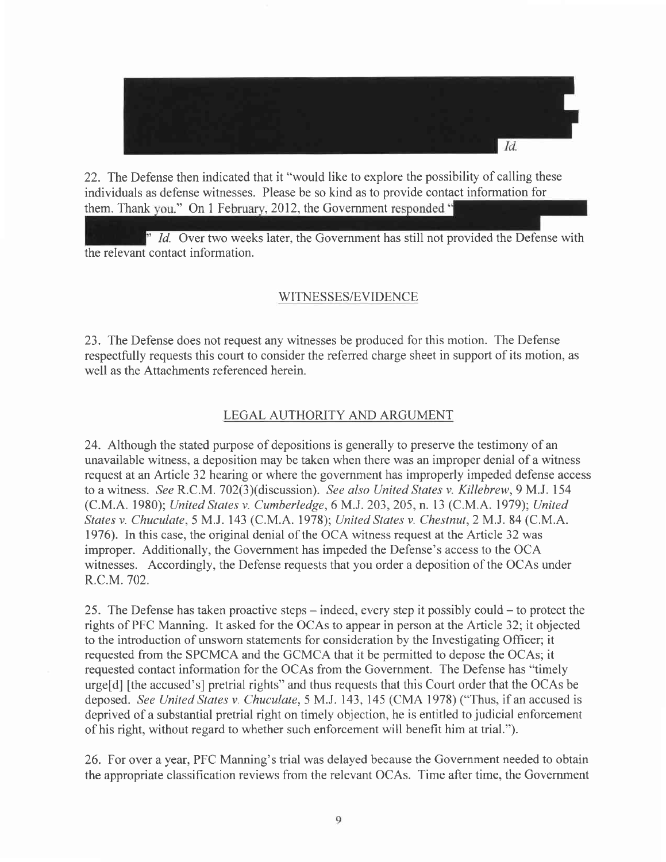

22. The Defense then indicated that it "would like to explore the possibility of calling these individuals as defense witnesses. Please be so kind as to provide contact information for them. Thank you," On 1 February, 2012, the Government responded "

 $\overline{a}$  Id. Over two weeks later, the Government has still not provided the Defense with the relevant contact information.

## WITNESSES/EVIDENCE

23. The Defense does not request any witnesses be produced for this motion. The Defense respectfully requests this court to consider the referred charge sheet in support of its motion, as well as the Attachments referenced herein.

## LEGAL AUTHORITY AND ARGUMENT

24. Although the stated purpose of depositions is generally to preserve the testimony of an unavailable witness, a deposition may be taken when there was an improper denial of a witness request at an Article 32 hearing or where the government has improperly impeded defense access to a witness. See R.C.M. 702(3)(discussion). See also United States v. Killebrew, 9 M.J. 154 (C.M.A. 1980); United Stares v. Cumberledge, 6 M.J. 203, 205, n. l3 (C.M.A. 1979); United States v. Chuculate, 5 MJ. 143 (C.M.A. 1978); United States v. Chestnut,2M.J.84 (C.M.A. 1976). In this case, the original denial of the OCA witness request at the Article 32 was improper. Additionally, the Government has impeded the Defense's access to the OCA witnesses. Accordingly, the Defense requests that you order a deposition of the OCAs under R.C.M.702.

25. The Defense has taken proactive steps – indeed, every step it possibly could – to protect the rights of PFC Manning. It asked for the OCAs to appear in person at the Anicle 32; it objected to the introduction of unsworn statements for consideration by the Investigating Officer; it requested from the SPCMCA and the GCMCA that it be permitted to depose the OCAs; it requested contact information for the OCAs from the Govemment. The Defense has "timely urgefd] [the accused's] pretrial rights" and thus requests that this Court order that the OCAs be deposed. See United States v. Chuculate, 5 M.J. 143, 145 (CMA 1978) ("Thus, if an accused is deprived of a substantial pretrial right on timely objection, he is entitled to judicial enforcement of his right, without regard to whether such enforcement will benefit him at trial.").

26. For over a year, PFC Manning's trial was delayed because the Government needed to obtain the appropriate classification reviews from the relevant OCAs. Time after time, the Government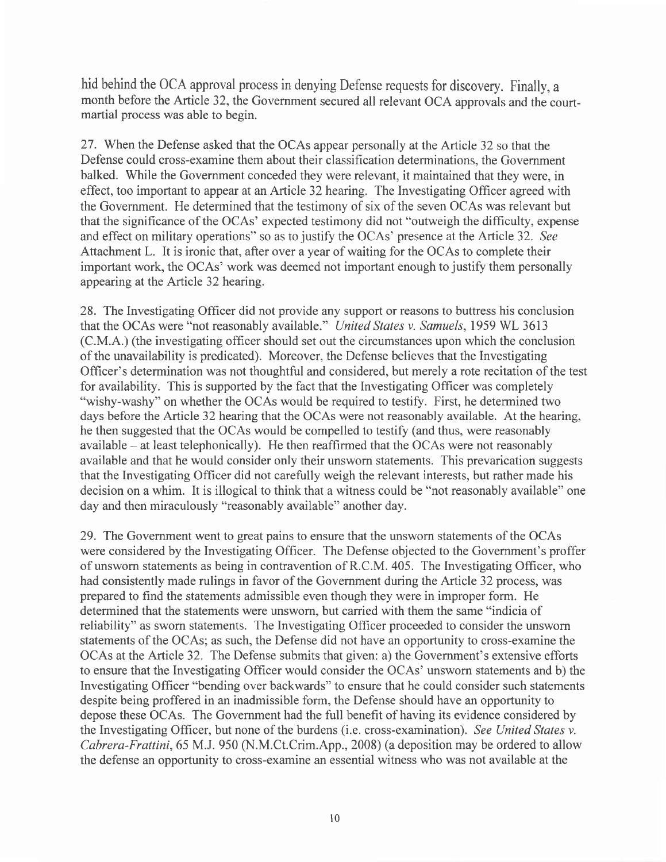hid behind the OCA approval process in denying Defense requests for discovery. Finally, a month before the Article 32, the Government secured all relevant OCA approvals and the courtmartial process was able to begin.

27. When the Defense asked that the OCAs appear personally at the Article 32 so that the Defense could cross-examine them about their classification determinations, the Govemment balked. While the Government conceded they were relevant, it maintained that they were, in effect, too important to appear at an Article 32 hearing. The Investigating Officer agreed with the Govemment. He determined that the testimony of six of the seven OCAs was relevant but that the significance of the OCAs' expected testimony did not "outweigh the difficulty, expense and effect on military operations" so as to justify the OCAs' presence at the Article 32. See Attachment L. It is ironic that, after over a year of waiting for the OCAs to complete their important work, the OCAs' work was deemed not important enough to justify them personally appearing at the Article 32 hearing.

28. The Investigating Officer did not provide any support or reasons to buttress his conclusion that the OCAs were "not reasonably available." *United States v. Samuels*, 1959 WL 3613 (C.M.A.) (the investigating officer should set out the circumstances upon which the conclusion of the unavailability is predicated). Moreover, the Defense believes that the Investigating Officer's determination was not thoughtful and considered, but merely a rote recitation of the test for availability. This is supported by the fact that the Investigating Officer was completely "wishy-washy" on whether the OCAs would be required to testify. First, he determined two days before the Article 32 hearing that the OCAs were not reasonably available. At the hearing, he then suggested that the OCAs would be compelled to testify (and thus, were reasonably  $a$ vailable  $-$  at least telephonically). He then reaffirmed that the OCAs were not reasonably available and that he would consider only their unsworn statements. This prevarication suggests that the Investigating Officer did not carefully weigh the relevant interests, but rather made his decision on a whim. It is illogical to think that a witness could be "not reasonably available" one day and then miraculously "reasonably available" another day.

29. The Government went to great pains to ensure that the unsworn statements of the OCAs were considered by the Investigating Officer. The Defense objected to the Government's proffer of unsworn statements as being in contravention of R.C.M. 405. The Investigating Offrcer, who had consistently made rulings in favor of the Government during the Article 32 process, was prepared to find the statements admissible even though they were in improper form. He determined that the statements were unsworn, but carried with them the same "indicia of reliability" as sworn statements. The Investigating Officer proceeded to consider the unsworn statements of the OCAs; as such, the Defense did not have an opportunity to cross-examine the OCAs at the Article 32. The Defense submits that given: a) the Government's extensive efforts to ensure that the Investigating Officer would consider the OCAs' unsworn statements and b) the Investigating Officer "bending over backwards" to ensure that he could consider such statements despite being proffered in an inadmissible form, the Defense should have an opportunity to depose these OCAs. The Government had the full benefit of having its evidence considered by the Investigating Officer, but none of the burdens (i.e. cross-examination). See United States v. Cabrera-Frattini, 65 M.J. 950 (N.M.Ct.Crim.App., 2008) (a deposition may be ordered to allow the defense an opportunity to cross-examine an essential witness who was not available at the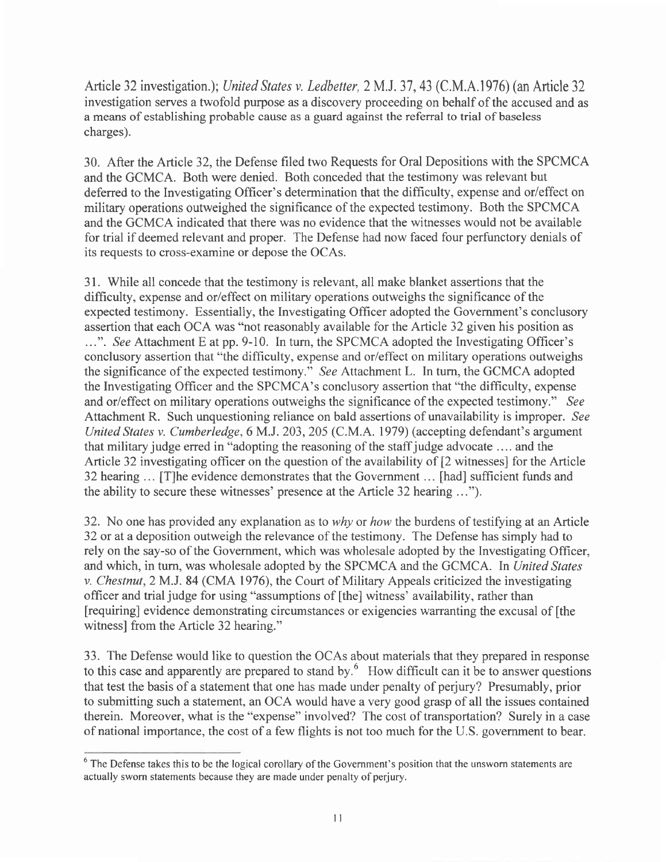Article 32 investigation.); United States v. Ledbetter, 2 M.J. 37, 43 (C.M.A.1976) (an Article 32 investigation serves a twofold purpose as a discovery proceeding on behalf of the accused and as a means of establishing probable cause as a guard against the referral to trial of baseless charges).

30. After the Article 32, the Defense filed two Requests for Oral Depositions with the SPCMCA and the GCMCA. Both were denied. Both conceded that the testimony was relevant but deferred to the Investigating Officer's determination that the difficulty, expense and or/effect on military operations outweighed the significance of the expected testimony. Both the SPCMCA and the GCMCA indicated that there was no evidence that the witnesses would not be available for trial if deemed relevant and proper. The Defense had now faced four perfunctory denials of its requests to cross-examine or depose the OCAs.

31. While all concede that the testimony is relevant, all make blanket assertions that the difficulty, expense and or/effect on military operations outweighs the significance of the expected testimony. Essentially, the Investigating Officer adopted the Government's conclusory assertion that each OCA was "not reasonably available for the Article 32 given his position as ...". See Attachment E at pp. 9-10. In turn, the SPCMCA adopted the Investigating Officer's conclusory assertion that "the difficulty, expense and or/effect on military operations outweighs the significance of the expected testimony." See Attachment L. In turn, the GCMCA adopted the lnvestigating Officer and the SPCMCA's conclusory assertion that "the difficulty, expense and or/effect on military operations outweighs the significance of the expected testimony." See Attachment R. Such unquestioning reliance on bald assertions of unavailability is improper. See United States v. Cumberledge,6 M.J. 203,205 (C.M.A. 1979) (accepting defendant's argument that military judge erred in "adopting the reasoning of the staffjudge advocate .... and the Article 32 investigating officer on the question of the availability of [2 witnesses] for the Article 32 hearing. . . [T]he evidence demonstrates that the Government .. . [had] sufficient funds and the ability to secure these witnesses' presence at the Article 32 hearing ...").

32. No one has provided any explanation as to why or how the burdens of testifying at an Article 32 or at a deposition outweigh the relevance of the testimony. The Defense has simply had to rely on the say-so of the Govemment, which was wholesale adopted by the Investigating Officer, and which, in turn, was wholesale adopted by the SPCMCA and the GCMCA. In United States v. Chestnut, 2 M.J. 84 (CMA 1976), the Court of Military Appeals criticized the investigating officer and trial judge for using "assumptions of [the] witness' availability, rather than [requiring] evidence demonstrating circumstances or exigencies warranting the excusal of [the witness] from the Article 32 hearing."

33. The Defense would like to question the OCAs about materials that they prepared in response to this case and apparently are prepared to stand by.<sup>6</sup> How difficult can it be to answer questions that test the basis of a statement that one has made under penalty of perjury? Presumably, prior to submitting such a statement, an OCA would have a very good grasp of all the issues contained therein. Moreover, what is the "expense" involved? The cost of transportation? Surely in a case of national importance, the cost of a few flights is not too much for the U.S. government to bear.

<sup>&</sup>lt;sup>6</sup> The Defense takes this to be the logical corollary of the Government's position that the unsworn statements are actually sworn statements because they are made under penalty of perjury.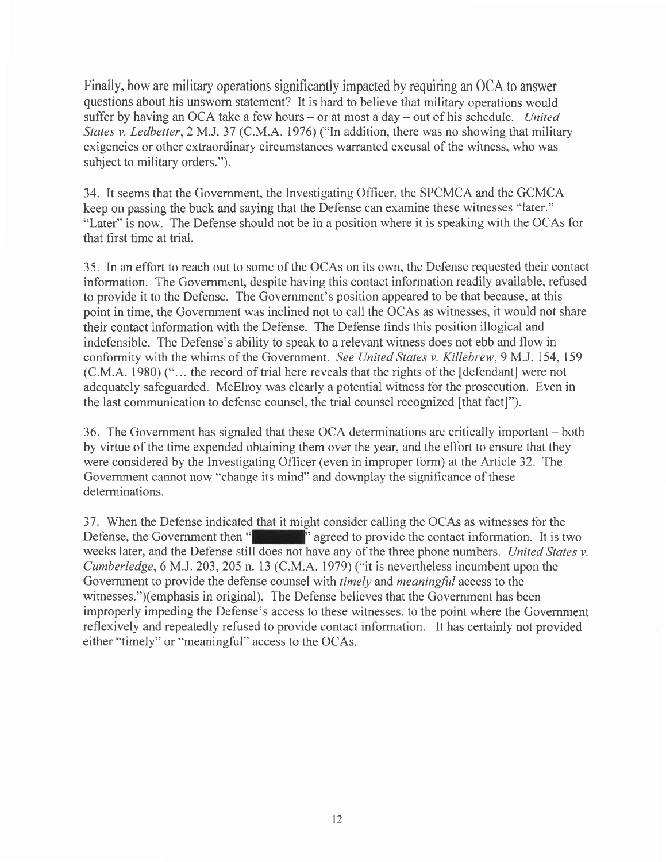Finally, how are military operations significantly impacted by requiring an OCA to answer questions about his unsworn statement? It is hard to believe that military operations would suffer by having an OCA take a few hours – or at most a day – out of his schedule. United States v. Ledbetter, 2 M.J. 37 (C.M.A. 1976) ("In addition, there was no showing that military exigencies or other extraordinary circumstances warranted excusal of the witness, who was subject to military orders.").

34. It seems that the Govemment, the Investigating Officer, the SPCMCA and the GCMCA keep on passing the buck and saying that the Defense can examine these witnesses "later." "Later" is now. The Defense should not be in a position where it is speaking with the OCAs for that first time at trial.

35. In an effort to reach out to some of the OCAs on its own, the Defense requested their contact information. The Government, despite having this contact information readily available, refused to provide it to the Defense. The Government's position appeared to be that because, at this point in time, the Government was inclined not to call the OCAs as witnesses, it would not share their contact information with the Defense. The Defense finds this position illogical and indefensible. The Defense's ability to speak to a relevant witness does not ebb and flow in conformity with the whims of the Government. See United States v. Killebrew, 9 M.J. 154,159 (C.M.A. 1980) ("... the record of trial here reveals that the rights of the [defendant] were not adequately safeguarded. McElroy was clearly a potential witness for the prosecution. Even in the last communication to defense counsel, the trial counsel recognized [that fact]").

36. The Government has signaled that these OCA determinations are critically important – both by virtue of the time expended obtaining them over the year, and the effort to ensure that they were considered by the Investigating Officer (even in improper form) at the Article 32. The Government cannot now "change its mind" and downplay the significance of these determinations.

37. When the Defense indicated that it might consider calling the OCAs as witnesses for the Defense, the Government then "  $\blacksquare$ " agreed to provide the contact information. It is two weeks later, and the Defense still does not have any of the three phone numbers. United States v. Cumberledge,6M.J.203,205 n. l3 (C.M.A. 1979) ("it is nevertheless incumbent upon the Government to provide the defense counsel with timely and meaningful access to the witnesses.")(emphasis in original). The Defense believes that the Government has been improperly impeding the Defense's access to these witnesses, to the point where the Government reflexively and repeatedly refused to provide contact information. It has certainly not provided either "timely" or "meaningful" access to the OCAs.